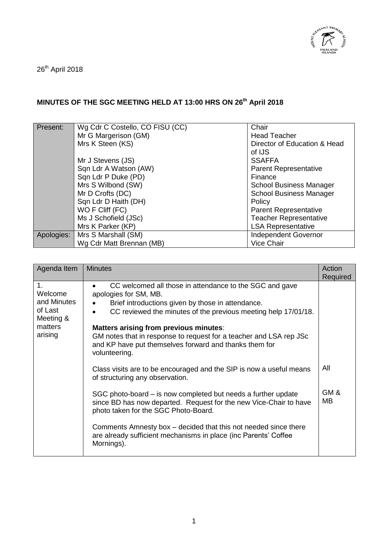

26<sup>th</sup> April 2018

## **MINUTES OF THE SGC MEETING HELD AT 13:00 HRS ON 26 th April 2018**

| Present:   | Wg Cdr C Costello, CO FISU (CC) | Chair                          |
|------------|---------------------------------|--------------------------------|
|            | Mr G Margerison (GM)            | <b>Head Teacher</b>            |
|            | Mrs K Steen (KS)                | Director of Education & Head   |
|            |                                 | of IJS                         |
|            | Mr J Stevens (JS)               | <b>SSAFFA</b>                  |
|            | Sqn Ldr A Watson (AW)           | <b>Parent Representative</b>   |
|            | Sqn Ldr P Duke (PD)             | Finance                        |
|            | Mrs S Wilbond (SW)              | <b>School Business Manager</b> |
|            | Mr D Crofts (DC)                | <b>School Business Manager</b> |
|            | Sqn Ldr D Haith (DH)            | Policy                         |
|            | WO F Cliff (FC)                 | <b>Parent Representative</b>   |
|            | Ms J Schofield (JSc)            | <b>Teacher Representative</b>  |
|            | Mrs K Parker (KP)               | <b>LSA Representative</b>      |
| Apologies: | Mrs S Marshall (SM)             | <b>Independent Governor</b>    |
|            | Wg Cdr Matt Brennan (MB)        | <b>Vice Chair</b>              |

| Agenda Item                                                                | <b>Minutes</b>                                                                                                                                                                                                                                                                                                                                                                                     | Action<br>Required |
|----------------------------------------------------------------------------|----------------------------------------------------------------------------------------------------------------------------------------------------------------------------------------------------------------------------------------------------------------------------------------------------------------------------------------------------------------------------------------------------|--------------------|
| 1.<br>Welcome<br>and Minutes<br>of Last<br>Meeting &<br>matters<br>arising | CC welcomed all those in attendance to the SGC and gave<br>apologies for SM, MB.<br>Brief introductions given by those in attendance.<br>CC reviewed the minutes of the previous meeting help 17/01/18.<br>Matters arising from previous minutes:<br>GM notes that in response to request for a teacher and LSA rep JSc<br>and KP have put themselves forward and thanks them for<br>volunteering. |                    |
|                                                                            | Class visits are to be encouraged and the SIP is now a useful means<br>of structuring any observation.                                                                                                                                                                                                                                                                                             | All                |
|                                                                            | SGC photo-board – is now completed but needs a further update<br>since BD has now departed. Request for the new Vice-Chair to have<br>photo taken for the SGC Photo-Board.                                                                                                                                                                                                                         | GM&<br>MВ          |
|                                                                            | Comments Amnesty box – decided that this not needed since there<br>are already sufficient mechanisms in place (inc Parents' Coffee<br>Mornings).                                                                                                                                                                                                                                                   |                    |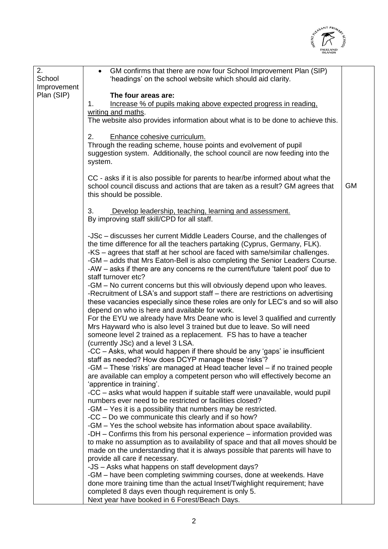

| GM confirms that there are now four School Improvement Plan (SIP)<br>$\bullet$<br>School<br>'headings' on the school website which should aid clarity.<br>Improvement<br>Plan (SIP)<br>The four areas are:<br>Increase % of pupils making above expected progress in reading,<br>1.<br>writing and maths.<br>The website also provides information about what is to be done to achieve this.<br>2.<br>Enhance cohesive curriculum.<br>Through the reading scheme, house points and evolvement of pupil<br>suggestion system. Additionally, the school council are now feeding into the<br>system.<br>CC - asks if it is also possible for parents to hear/be informed about what the<br><b>GM</b><br>school council discuss and actions that are taken as a result? GM agrees that<br>this should be possible.<br>3.<br>Develop leadership, teaching, learning and assessment.<br>By improving staff skill/CPD for all staff.<br>-JSc – discusses her current Middle Leaders Course, and the challenges of<br>the time difference for all the teachers partaking (Cyprus, Germany, FLK).<br>-KS – agrees that staff at her school are faced with same/similar challenges.<br>-GM – adds that Mrs Eaton-Bell is also completing the Senior Leaders Course.<br>-AW - asks if there are any concerns re the current/future 'talent pool' due to<br>staff turnover etc?<br>-GM – No current concerns but this will obviously depend upon who leaves.<br>-Recruitment of LSA's and support staff – there are restrictions on advertising<br>these vacancies especially since these roles are only for LEC's and so will also<br>depend on who is here and available for work.<br>For the EYU we already have Mrs Deane who is level 3 qualified and currently<br>Mrs Hayward who is also level 3 trained but due to leave. So will need<br>someone level 2 trained as a replacement. FS has to have a teacher<br>(currently JSc) and a level 3 LSA.<br>-CC – Asks, what would happen if there should be any 'gaps' ie insufficient<br>staff as needed? How does DCYP manage these 'risks'?<br>-GM – These 'risks' are managed at Head teacher level – if no trained people<br>are available can employ a competent person who will effectively become an<br>'apprentice in training'.<br>-CC – asks what would happen if suitable staff were unavailable, would pupil<br>numbers ever need to be restricted or facilities closed?<br>-GM – Yes it is a possibility that numbers may be restricted.<br>-CC – Do we communicate this clearly and if so how?<br>-GM - Yes the school website has information about space availability.<br>-DH – Confirms this from his personal experience – information provided was<br>to make no assumption as to availability of space and that all moves should be<br>made on the understanding that it is always possible that parents will have to<br>provide all care if necessary.<br>-JS - Asks what happens on staff development days?<br>-GM – have been completing swimming courses, done at weekends. Have<br>done more training time than the actual Inset/Twighlight requirement; have<br>completed 8 days even though requirement is only 5. |    |                                               |  |
|---------------------------------------------------------------------------------------------------------------------------------------------------------------------------------------------------------------------------------------------------------------------------------------------------------------------------------------------------------------------------------------------------------------------------------------------------------------------------------------------------------------------------------------------------------------------------------------------------------------------------------------------------------------------------------------------------------------------------------------------------------------------------------------------------------------------------------------------------------------------------------------------------------------------------------------------------------------------------------------------------------------------------------------------------------------------------------------------------------------------------------------------------------------------------------------------------------------------------------------------------------------------------------------------------------------------------------------------------------------------------------------------------------------------------------------------------------------------------------------------------------------------------------------------------------------------------------------------------------------------------------------------------------------------------------------------------------------------------------------------------------------------------------------------------------------------------------------------------------------------------------------------------------------------------------------------------------------------------------------------------------------------------------------------------------------------------------------------------------------------------------------------------------------------------------------------------------------------------------------------------------------------------------------------------------------------------------------------------------------------------------------------------------------------------------------------------------------------------------------------------------------------------------------------------------------------------------------------------------------------------------------------------------------------------------------------------------------------------------------------------------------------------------------------------------------------------------------------------------------------------------------------------------------------------------------------------------------------------------------------------------------------------------------------------------------------------------------------------------------------------------------------------------------------------------------|----|-----------------------------------------------|--|
|                                                                                                                                                                                                                                                                                                                                                                                                                                                                                                                                                                                                                                                                                                                                                                                                                                                                                                                                                                                                                                                                                                                                                                                                                                                                                                                                                                                                                                                                                                                                                                                                                                                                                                                                                                                                                                                                                                                                                                                                                                                                                                                                                                                                                                                                                                                                                                                                                                                                                                                                                                                                                                                                                                                                                                                                                                                                                                                                                                                                                                                                                                                                                                                       | 2. |                                               |  |
|                                                                                                                                                                                                                                                                                                                                                                                                                                                                                                                                                                                                                                                                                                                                                                                                                                                                                                                                                                                                                                                                                                                                                                                                                                                                                                                                                                                                                                                                                                                                                                                                                                                                                                                                                                                                                                                                                                                                                                                                                                                                                                                                                                                                                                                                                                                                                                                                                                                                                                                                                                                                                                                                                                                                                                                                                                                                                                                                                                                                                                                                                                                                                                                       |    |                                               |  |
|                                                                                                                                                                                                                                                                                                                                                                                                                                                                                                                                                                                                                                                                                                                                                                                                                                                                                                                                                                                                                                                                                                                                                                                                                                                                                                                                                                                                                                                                                                                                                                                                                                                                                                                                                                                                                                                                                                                                                                                                                                                                                                                                                                                                                                                                                                                                                                                                                                                                                                                                                                                                                                                                                                                                                                                                                                                                                                                                                                                                                                                                                                                                                                                       |    |                                               |  |
|                                                                                                                                                                                                                                                                                                                                                                                                                                                                                                                                                                                                                                                                                                                                                                                                                                                                                                                                                                                                                                                                                                                                                                                                                                                                                                                                                                                                                                                                                                                                                                                                                                                                                                                                                                                                                                                                                                                                                                                                                                                                                                                                                                                                                                                                                                                                                                                                                                                                                                                                                                                                                                                                                                                                                                                                                                                                                                                                                                                                                                                                                                                                                                                       |    |                                               |  |
|                                                                                                                                                                                                                                                                                                                                                                                                                                                                                                                                                                                                                                                                                                                                                                                                                                                                                                                                                                                                                                                                                                                                                                                                                                                                                                                                                                                                                                                                                                                                                                                                                                                                                                                                                                                                                                                                                                                                                                                                                                                                                                                                                                                                                                                                                                                                                                                                                                                                                                                                                                                                                                                                                                                                                                                                                                                                                                                                                                                                                                                                                                                                                                                       |    |                                               |  |
|                                                                                                                                                                                                                                                                                                                                                                                                                                                                                                                                                                                                                                                                                                                                                                                                                                                                                                                                                                                                                                                                                                                                                                                                                                                                                                                                                                                                                                                                                                                                                                                                                                                                                                                                                                                                                                                                                                                                                                                                                                                                                                                                                                                                                                                                                                                                                                                                                                                                                                                                                                                                                                                                                                                                                                                                                                                                                                                                                                                                                                                                                                                                                                                       |    |                                               |  |
|                                                                                                                                                                                                                                                                                                                                                                                                                                                                                                                                                                                                                                                                                                                                                                                                                                                                                                                                                                                                                                                                                                                                                                                                                                                                                                                                                                                                                                                                                                                                                                                                                                                                                                                                                                                                                                                                                                                                                                                                                                                                                                                                                                                                                                                                                                                                                                                                                                                                                                                                                                                                                                                                                                                                                                                                                                                                                                                                                                                                                                                                                                                                                                                       |    |                                               |  |
|                                                                                                                                                                                                                                                                                                                                                                                                                                                                                                                                                                                                                                                                                                                                                                                                                                                                                                                                                                                                                                                                                                                                                                                                                                                                                                                                                                                                                                                                                                                                                                                                                                                                                                                                                                                                                                                                                                                                                                                                                                                                                                                                                                                                                                                                                                                                                                                                                                                                                                                                                                                                                                                                                                                                                                                                                                                                                                                                                                                                                                                                                                                                                                                       |    |                                               |  |
|                                                                                                                                                                                                                                                                                                                                                                                                                                                                                                                                                                                                                                                                                                                                                                                                                                                                                                                                                                                                                                                                                                                                                                                                                                                                                                                                                                                                                                                                                                                                                                                                                                                                                                                                                                                                                                                                                                                                                                                                                                                                                                                                                                                                                                                                                                                                                                                                                                                                                                                                                                                                                                                                                                                                                                                                                                                                                                                                                                                                                                                                                                                                                                                       |    |                                               |  |
|                                                                                                                                                                                                                                                                                                                                                                                                                                                                                                                                                                                                                                                                                                                                                                                                                                                                                                                                                                                                                                                                                                                                                                                                                                                                                                                                                                                                                                                                                                                                                                                                                                                                                                                                                                                                                                                                                                                                                                                                                                                                                                                                                                                                                                                                                                                                                                                                                                                                                                                                                                                                                                                                                                                                                                                                                                                                                                                                                                                                                                                                                                                                                                                       |    |                                               |  |
|                                                                                                                                                                                                                                                                                                                                                                                                                                                                                                                                                                                                                                                                                                                                                                                                                                                                                                                                                                                                                                                                                                                                                                                                                                                                                                                                                                                                                                                                                                                                                                                                                                                                                                                                                                                                                                                                                                                                                                                                                                                                                                                                                                                                                                                                                                                                                                                                                                                                                                                                                                                                                                                                                                                                                                                                                                                                                                                                                                                                                                                                                                                                                                                       |    |                                               |  |
|                                                                                                                                                                                                                                                                                                                                                                                                                                                                                                                                                                                                                                                                                                                                                                                                                                                                                                                                                                                                                                                                                                                                                                                                                                                                                                                                                                                                                                                                                                                                                                                                                                                                                                                                                                                                                                                                                                                                                                                                                                                                                                                                                                                                                                                                                                                                                                                                                                                                                                                                                                                                                                                                                                                                                                                                                                                                                                                                                                                                                                                                                                                                                                                       |    |                                               |  |
|                                                                                                                                                                                                                                                                                                                                                                                                                                                                                                                                                                                                                                                                                                                                                                                                                                                                                                                                                                                                                                                                                                                                                                                                                                                                                                                                                                                                                                                                                                                                                                                                                                                                                                                                                                                                                                                                                                                                                                                                                                                                                                                                                                                                                                                                                                                                                                                                                                                                                                                                                                                                                                                                                                                                                                                                                                                                                                                                                                                                                                                                                                                                                                                       |    |                                               |  |
|                                                                                                                                                                                                                                                                                                                                                                                                                                                                                                                                                                                                                                                                                                                                                                                                                                                                                                                                                                                                                                                                                                                                                                                                                                                                                                                                                                                                                                                                                                                                                                                                                                                                                                                                                                                                                                                                                                                                                                                                                                                                                                                                                                                                                                                                                                                                                                                                                                                                                                                                                                                                                                                                                                                                                                                                                                                                                                                                                                                                                                                                                                                                                                                       |    |                                               |  |
|                                                                                                                                                                                                                                                                                                                                                                                                                                                                                                                                                                                                                                                                                                                                                                                                                                                                                                                                                                                                                                                                                                                                                                                                                                                                                                                                                                                                                                                                                                                                                                                                                                                                                                                                                                                                                                                                                                                                                                                                                                                                                                                                                                                                                                                                                                                                                                                                                                                                                                                                                                                                                                                                                                                                                                                                                                                                                                                                                                                                                                                                                                                                                                                       |    |                                               |  |
|                                                                                                                                                                                                                                                                                                                                                                                                                                                                                                                                                                                                                                                                                                                                                                                                                                                                                                                                                                                                                                                                                                                                                                                                                                                                                                                                                                                                                                                                                                                                                                                                                                                                                                                                                                                                                                                                                                                                                                                                                                                                                                                                                                                                                                                                                                                                                                                                                                                                                                                                                                                                                                                                                                                                                                                                                                                                                                                                                                                                                                                                                                                                                                                       |    |                                               |  |
|                                                                                                                                                                                                                                                                                                                                                                                                                                                                                                                                                                                                                                                                                                                                                                                                                                                                                                                                                                                                                                                                                                                                                                                                                                                                                                                                                                                                                                                                                                                                                                                                                                                                                                                                                                                                                                                                                                                                                                                                                                                                                                                                                                                                                                                                                                                                                                                                                                                                                                                                                                                                                                                                                                                                                                                                                                                                                                                                                                                                                                                                                                                                                                                       |    |                                               |  |
|                                                                                                                                                                                                                                                                                                                                                                                                                                                                                                                                                                                                                                                                                                                                                                                                                                                                                                                                                                                                                                                                                                                                                                                                                                                                                                                                                                                                                                                                                                                                                                                                                                                                                                                                                                                                                                                                                                                                                                                                                                                                                                                                                                                                                                                                                                                                                                                                                                                                                                                                                                                                                                                                                                                                                                                                                                                                                                                                                                                                                                                                                                                                                                                       |    |                                               |  |
|                                                                                                                                                                                                                                                                                                                                                                                                                                                                                                                                                                                                                                                                                                                                                                                                                                                                                                                                                                                                                                                                                                                                                                                                                                                                                                                                                                                                                                                                                                                                                                                                                                                                                                                                                                                                                                                                                                                                                                                                                                                                                                                                                                                                                                                                                                                                                                                                                                                                                                                                                                                                                                                                                                                                                                                                                                                                                                                                                                                                                                                                                                                                                                                       |    |                                               |  |
|                                                                                                                                                                                                                                                                                                                                                                                                                                                                                                                                                                                                                                                                                                                                                                                                                                                                                                                                                                                                                                                                                                                                                                                                                                                                                                                                                                                                                                                                                                                                                                                                                                                                                                                                                                                                                                                                                                                                                                                                                                                                                                                                                                                                                                                                                                                                                                                                                                                                                                                                                                                                                                                                                                                                                                                                                                                                                                                                                                                                                                                                                                                                                                                       |    |                                               |  |
|                                                                                                                                                                                                                                                                                                                                                                                                                                                                                                                                                                                                                                                                                                                                                                                                                                                                                                                                                                                                                                                                                                                                                                                                                                                                                                                                                                                                                                                                                                                                                                                                                                                                                                                                                                                                                                                                                                                                                                                                                                                                                                                                                                                                                                                                                                                                                                                                                                                                                                                                                                                                                                                                                                                                                                                                                                                                                                                                                                                                                                                                                                                                                                                       |    |                                               |  |
|                                                                                                                                                                                                                                                                                                                                                                                                                                                                                                                                                                                                                                                                                                                                                                                                                                                                                                                                                                                                                                                                                                                                                                                                                                                                                                                                                                                                                                                                                                                                                                                                                                                                                                                                                                                                                                                                                                                                                                                                                                                                                                                                                                                                                                                                                                                                                                                                                                                                                                                                                                                                                                                                                                                                                                                                                                                                                                                                                                                                                                                                                                                                                                                       |    |                                               |  |
|                                                                                                                                                                                                                                                                                                                                                                                                                                                                                                                                                                                                                                                                                                                                                                                                                                                                                                                                                                                                                                                                                                                                                                                                                                                                                                                                                                                                                                                                                                                                                                                                                                                                                                                                                                                                                                                                                                                                                                                                                                                                                                                                                                                                                                                                                                                                                                                                                                                                                                                                                                                                                                                                                                                                                                                                                                                                                                                                                                                                                                                                                                                                                                                       |    |                                               |  |
|                                                                                                                                                                                                                                                                                                                                                                                                                                                                                                                                                                                                                                                                                                                                                                                                                                                                                                                                                                                                                                                                                                                                                                                                                                                                                                                                                                                                                                                                                                                                                                                                                                                                                                                                                                                                                                                                                                                                                                                                                                                                                                                                                                                                                                                                                                                                                                                                                                                                                                                                                                                                                                                                                                                                                                                                                                                                                                                                                                                                                                                                                                                                                                                       |    |                                               |  |
|                                                                                                                                                                                                                                                                                                                                                                                                                                                                                                                                                                                                                                                                                                                                                                                                                                                                                                                                                                                                                                                                                                                                                                                                                                                                                                                                                                                                                                                                                                                                                                                                                                                                                                                                                                                                                                                                                                                                                                                                                                                                                                                                                                                                                                                                                                                                                                                                                                                                                                                                                                                                                                                                                                                                                                                                                                                                                                                                                                                                                                                                                                                                                                                       |    |                                               |  |
|                                                                                                                                                                                                                                                                                                                                                                                                                                                                                                                                                                                                                                                                                                                                                                                                                                                                                                                                                                                                                                                                                                                                                                                                                                                                                                                                                                                                                                                                                                                                                                                                                                                                                                                                                                                                                                                                                                                                                                                                                                                                                                                                                                                                                                                                                                                                                                                                                                                                                                                                                                                                                                                                                                                                                                                                                                                                                                                                                                                                                                                                                                                                                                                       |    |                                               |  |
|                                                                                                                                                                                                                                                                                                                                                                                                                                                                                                                                                                                                                                                                                                                                                                                                                                                                                                                                                                                                                                                                                                                                                                                                                                                                                                                                                                                                                                                                                                                                                                                                                                                                                                                                                                                                                                                                                                                                                                                                                                                                                                                                                                                                                                                                                                                                                                                                                                                                                                                                                                                                                                                                                                                                                                                                                                                                                                                                                                                                                                                                                                                                                                                       |    |                                               |  |
|                                                                                                                                                                                                                                                                                                                                                                                                                                                                                                                                                                                                                                                                                                                                                                                                                                                                                                                                                                                                                                                                                                                                                                                                                                                                                                                                                                                                                                                                                                                                                                                                                                                                                                                                                                                                                                                                                                                                                                                                                                                                                                                                                                                                                                                                                                                                                                                                                                                                                                                                                                                                                                                                                                                                                                                                                                                                                                                                                                                                                                                                                                                                                                                       |    |                                               |  |
|                                                                                                                                                                                                                                                                                                                                                                                                                                                                                                                                                                                                                                                                                                                                                                                                                                                                                                                                                                                                                                                                                                                                                                                                                                                                                                                                                                                                                                                                                                                                                                                                                                                                                                                                                                                                                                                                                                                                                                                                                                                                                                                                                                                                                                                                                                                                                                                                                                                                                                                                                                                                                                                                                                                                                                                                                                                                                                                                                                                                                                                                                                                                                                                       |    |                                               |  |
|                                                                                                                                                                                                                                                                                                                                                                                                                                                                                                                                                                                                                                                                                                                                                                                                                                                                                                                                                                                                                                                                                                                                                                                                                                                                                                                                                                                                                                                                                                                                                                                                                                                                                                                                                                                                                                                                                                                                                                                                                                                                                                                                                                                                                                                                                                                                                                                                                                                                                                                                                                                                                                                                                                                                                                                                                                                                                                                                                                                                                                                                                                                                                                                       |    |                                               |  |
|                                                                                                                                                                                                                                                                                                                                                                                                                                                                                                                                                                                                                                                                                                                                                                                                                                                                                                                                                                                                                                                                                                                                                                                                                                                                                                                                                                                                                                                                                                                                                                                                                                                                                                                                                                                                                                                                                                                                                                                                                                                                                                                                                                                                                                                                                                                                                                                                                                                                                                                                                                                                                                                                                                                                                                                                                                                                                                                                                                                                                                                                                                                                                                                       |    |                                               |  |
|                                                                                                                                                                                                                                                                                                                                                                                                                                                                                                                                                                                                                                                                                                                                                                                                                                                                                                                                                                                                                                                                                                                                                                                                                                                                                                                                                                                                                                                                                                                                                                                                                                                                                                                                                                                                                                                                                                                                                                                                                                                                                                                                                                                                                                                                                                                                                                                                                                                                                                                                                                                                                                                                                                                                                                                                                                                                                                                                                                                                                                                                                                                                                                                       |    |                                               |  |
|                                                                                                                                                                                                                                                                                                                                                                                                                                                                                                                                                                                                                                                                                                                                                                                                                                                                                                                                                                                                                                                                                                                                                                                                                                                                                                                                                                                                                                                                                                                                                                                                                                                                                                                                                                                                                                                                                                                                                                                                                                                                                                                                                                                                                                                                                                                                                                                                                                                                                                                                                                                                                                                                                                                                                                                                                                                                                                                                                                                                                                                                                                                                                                                       |    |                                               |  |
|                                                                                                                                                                                                                                                                                                                                                                                                                                                                                                                                                                                                                                                                                                                                                                                                                                                                                                                                                                                                                                                                                                                                                                                                                                                                                                                                                                                                                                                                                                                                                                                                                                                                                                                                                                                                                                                                                                                                                                                                                                                                                                                                                                                                                                                                                                                                                                                                                                                                                                                                                                                                                                                                                                                                                                                                                                                                                                                                                                                                                                                                                                                                                                                       |    |                                               |  |
|                                                                                                                                                                                                                                                                                                                                                                                                                                                                                                                                                                                                                                                                                                                                                                                                                                                                                                                                                                                                                                                                                                                                                                                                                                                                                                                                                                                                                                                                                                                                                                                                                                                                                                                                                                                                                                                                                                                                                                                                                                                                                                                                                                                                                                                                                                                                                                                                                                                                                                                                                                                                                                                                                                                                                                                                                                                                                                                                                                                                                                                                                                                                                                                       |    |                                               |  |
|                                                                                                                                                                                                                                                                                                                                                                                                                                                                                                                                                                                                                                                                                                                                                                                                                                                                                                                                                                                                                                                                                                                                                                                                                                                                                                                                                                                                                                                                                                                                                                                                                                                                                                                                                                                                                                                                                                                                                                                                                                                                                                                                                                                                                                                                                                                                                                                                                                                                                                                                                                                                                                                                                                                                                                                                                                                                                                                                                                                                                                                                                                                                                                                       |    |                                               |  |
|                                                                                                                                                                                                                                                                                                                                                                                                                                                                                                                                                                                                                                                                                                                                                                                                                                                                                                                                                                                                                                                                                                                                                                                                                                                                                                                                                                                                                                                                                                                                                                                                                                                                                                                                                                                                                                                                                                                                                                                                                                                                                                                                                                                                                                                                                                                                                                                                                                                                                                                                                                                                                                                                                                                                                                                                                                                                                                                                                                                                                                                                                                                                                                                       |    |                                               |  |
|                                                                                                                                                                                                                                                                                                                                                                                                                                                                                                                                                                                                                                                                                                                                                                                                                                                                                                                                                                                                                                                                                                                                                                                                                                                                                                                                                                                                                                                                                                                                                                                                                                                                                                                                                                                                                                                                                                                                                                                                                                                                                                                                                                                                                                                                                                                                                                                                                                                                                                                                                                                                                                                                                                                                                                                                                                                                                                                                                                                                                                                                                                                                                                                       |    |                                               |  |
|                                                                                                                                                                                                                                                                                                                                                                                                                                                                                                                                                                                                                                                                                                                                                                                                                                                                                                                                                                                                                                                                                                                                                                                                                                                                                                                                                                                                                                                                                                                                                                                                                                                                                                                                                                                                                                                                                                                                                                                                                                                                                                                                                                                                                                                                                                                                                                                                                                                                                                                                                                                                                                                                                                                                                                                                                                                                                                                                                                                                                                                                                                                                                                                       |    |                                               |  |
|                                                                                                                                                                                                                                                                                                                                                                                                                                                                                                                                                                                                                                                                                                                                                                                                                                                                                                                                                                                                                                                                                                                                                                                                                                                                                                                                                                                                                                                                                                                                                                                                                                                                                                                                                                                                                                                                                                                                                                                                                                                                                                                                                                                                                                                                                                                                                                                                                                                                                                                                                                                                                                                                                                                                                                                                                                                                                                                                                                                                                                                                                                                                                                                       |    |                                               |  |
|                                                                                                                                                                                                                                                                                                                                                                                                                                                                                                                                                                                                                                                                                                                                                                                                                                                                                                                                                                                                                                                                                                                                                                                                                                                                                                                                                                                                                                                                                                                                                                                                                                                                                                                                                                                                                                                                                                                                                                                                                                                                                                                                                                                                                                                                                                                                                                                                                                                                                                                                                                                                                                                                                                                                                                                                                                                                                                                                                                                                                                                                                                                                                                                       |    |                                               |  |
|                                                                                                                                                                                                                                                                                                                                                                                                                                                                                                                                                                                                                                                                                                                                                                                                                                                                                                                                                                                                                                                                                                                                                                                                                                                                                                                                                                                                                                                                                                                                                                                                                                                                                                                                                                                                                                                                                                                                                                                                                                                                                                                                                                                                                                                                                                                                                                                                                                                                                                                                                                                                                                                                                                                                                                                                                                                                                                                                                                                                                                                                                                                                                                                       |    | Next year have booked in 6 Forest/Beach Days. |  |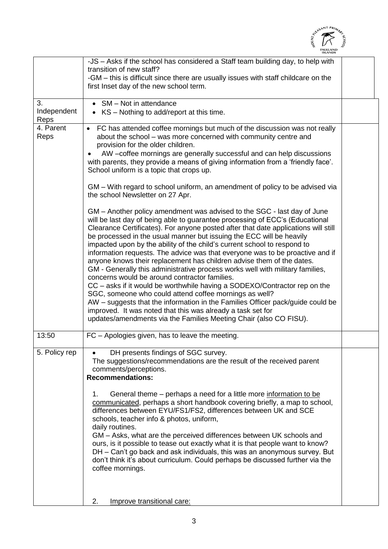|                           | altASANT PRIMA                                                                                                                                                                                                                                                                                                                                                                                                                                                                                                                                                                                                                                                                                                                                                                                                                                                                                                                                                                                                                                                                                                                                                                                                                                                                                                                                                                                                                                                                                                                                                                 |  |
|---------------------------|--------------------------------------------------------------------------------------------------------------------------------------------------------------------------------------------------------------------------------------------------------------------------------------------------------------------------------------------------------------------------------------------------------------------------------------------------------------------------------------------------------------------------------------------------------------------------------------------------------------------------------------------------------------------------------------------------------------------------------------------------------------------------------------------------------------------------------------------------------------------------------------------------------------------------------------------------------------------------------------------------------------------------------------------------------------------------------------------------------------------------------------------------------------------------------------------------------------------------------------------------------------------------------------------------------------------------------------------------------------------------------------------------------------------------------------------------------------------------------------------------------------------------------------------------------------------------------|--|
|                           | -JS – Asks if the school has considered a Staff team building day, to help with<br>transition of new staff?<br>-GM – this is difficult since there are usually issues with staff childcare on the<br>first Inset day of the new school term.                                                                                                                                                                                                                                                                                                                                                                                                                                                                                                                                                                                                                                                                                                                                                                                                                                                                                                                                                                                                                                                                                                                                                                                                                                                                                                                                   |  |
| 3.<br>Independent<br>Reps | SM - Not in attendance<br>KS – Nothing to add/report at this time.                                                                                                                                                                                                                                                                                                                                                                                                                                                                                                                                                                                                                                                                                                                                                                                                                                                                                                                                                                                                                                                                                                                                                                                                                                                                                                                                                                                                                                                                                                             |  |
| 4. Parent<br>Reps         | • FC has attended coffee mornings but much of the discussion was not really<br>about the school – was more concerned with community centre and<br>provision for the older children.<br>AW -coffee mornings are generally successful and can help discussions<br>with parents, they provide a means of giving information from a 'friendly face'.<br>School uniform is a topic that crops up.<br>GM – With regard to school uniform, an amendment of policy to be advised via<br>the school Newsletter on 27 Apr.<br>GM - Another policy amendment was advised to the SGC - last day of June<br>will be last day of being able to guarantee processing of ECC's (Educational<br>Clearance Certificates). For anyone posted after that date applications will still<br>be processed in the usual manner but issuing the ECC will be heavily<br>impacted upon by the ability of the child's current school to respond to<br>information requests. The advice was that everyone was to be proactive and if<br>anyone knows their replacement has children advise them of the dates.<br>GM - Generally this administrative process works well with military families,<br>concerns would be around contractor families.<br>CC – asks if it would be worthwhile having a SODEXO/Contractor rep on the<br>SGC, someone who could attend coffee mornings as well?<br>AW – suggests that the information in the Families Officer pack/guide could be<br>improved. It was noted that this was already a task set for<br>updates/amendments via the Families Meeting Chair (also CO FISU). |  |
| 13:50                     | $FC - Apologies$ given, has to leave the meeting.                                                                                                                                                                                                                                                                                                                                                                                                                                                                                                                                                                                                                                                                                                                                                                                                                                                                                                                                                                                                                                                                                                                                                                                                                                                                                                                                                                                                                                                                                                                              |  |
| 5. Policy rep             | DH presents findings of SGC survey.<br>The suggestions/recommendations are the result of the received parent<br>comments/perceptions.<br><b>Recommendations:</b><br>General theme – perhaps a need for a little more information to be<br>1.<br>communicated, perhaps a short handbook covering briefly, a map to school,<br>differences between EYU/FS1/FS2, differences between UK and SCE<br>schools, teacher info & photos, uniform,<br>daily routines.<br>GM - Asks, what are the perceived differences between UK schools and                                                                                                                                                                                                                                                                                                                                                                                                                                                                                                                                                                                                                                                                                                                                                                                                                                                                                                                                                                                                                                            |  |

ours, is it possible to tease out exactly what it is that people want to know? DH – Can't go back and ask individuals, this was an anonymous survey. But don't think it's about curriculum. Could perhaps be discussed further via the coffee mornings.

2. Improve transitional care: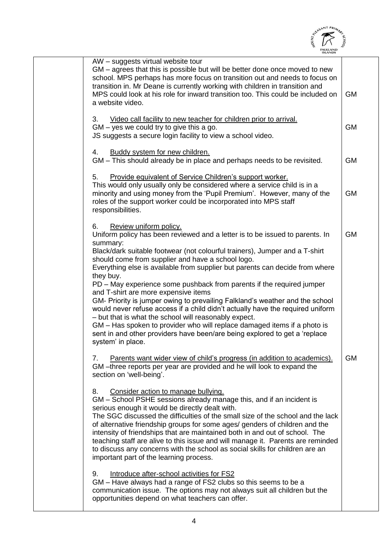

| <b>ISLANDS</b>                                                                                                                                                                                                                                                                                                                                                                                                                                                                                                                                                                                                                                                                                                                                                                                                                                                                      |           |
|-------------------------------------------------------------------------------------------------------------------------------------------------------------------------------------------------------------------------------------------------------------------------------------------------------------------------------------------------------------------------------------------------------------------------------------------------------------------------------------------------------------------------------------------------------------------------------------------------------------------------------------------------------------------------------------------------------------------------------------------------------------------------------------------------------------------------------------------------------------------------------------|-----------|
| AW - suggests virtual website tour<br>GM – agrees that this is possible but will be better done once moved to new<br>school. MPS perhaps has more focus on transition out and needs to focus on<br>transition in. Mr Deane is currently working with children in transition and<br>MPS could look at his role for inward transition too. This could be included on<br>a website video.                                                                                                                                                                                                                                                                                                                                                                                                                                                                                              | <b>GM</b> |
| 3.<br>Video call facility to new teacher for children prior to arrival.<br>$GM - yes$ we could try to give this a go.<br>JS suggests a secure login facility to view a school video.                                                                                                                                                                                                                                                                                                                                                                                                                                                                                                                                                                                                                                                                                                | <b>GM</b> |
| Buddy system for new children.<br>4.<br>GM - This should already be in place and perhaps needs to be revisited.                                                                                                                                                                                                                                                                                                                                                                                                                                                                                                                                                                                                                                                                                                                                                                     | <b>GM</b> |
| Provide equivalent of Service Children's support worker.<br>5.<br>This would only usually only be considered where a service child is in a<br>minority and using money from the 'Pupil Premium'. However, many of the<br>roles of the support worker could be incorporated into MPS staff<br>responsibilities.                                                                                                                                                                                                                                                                                                                                                                                                                                                                                                                                                                      | <b>GM</b> |
| 6.<br>Review uniform policy.<br>Uniform policy has been reviewed and a letter is to be issued to parents. In<br>summary:<br>Black/dark suitable footwear (not colourful trainers), Jumper and a T-shirt<br>should come from supplier and have a school logo.<br>Everything else is available from supplier but parents can decide from where<br>they buy.<br>PD – May experience some pushback from parents if the required jumper<br>and T-shirt are more expensive items<br>GM- Priority is jumper owing to prevailing Falkland's weather and the school<br>would never refuse access if a child didn't actually have the required uniform<br>- but that is what the school will reasonably expect.<br>GM - Has spoken to provider who will replace damaged items if a photo is<br>sent in and other providers have been/are being explored to get a 'replace<br>system' in place | <b>GM</b> |
| Parents want wider view of child's progress (in addition to academics).<br>7.<br>GM-three reports per year are provided and he will look to expand the<br>section on 'well-being'.<br>Consider action to manage bullying.<br>8.<br>GM - School PSHE sessions already manage this, and if an incident is<br>serious enough it would be directly dealt with.<br>The SGC discussed the difficulties of the small size of the school and the lack<br>of alternative friendship groups for some ages/ genders of children and the<br>intensity of friendships that are maintained both in and out of school. The<br>teaching staff are alive to this issue and will manage it. Parents are reminded<br>to discuss any concerns with the school as social skills for children are an                                                                                                      | <b>GM</b> |
| important part of the learning process.<br>9.<br>Introduce after-school activities for FS2<br>GM - Have always had a range of FS2 clubs so this seems to be a<br>communication issue. The options may not always suit all children but the<br>opportunities depend on what teachers can offer.                                                                                                                                                                                                                                                                                                                                                                                                                                                                                                                                                                                      |           |
|                                                                                                                                                                                                                                                                                                                                                                                                                                                                                                                                                                                                                                                                                                                                                                                                                                                                                     |           |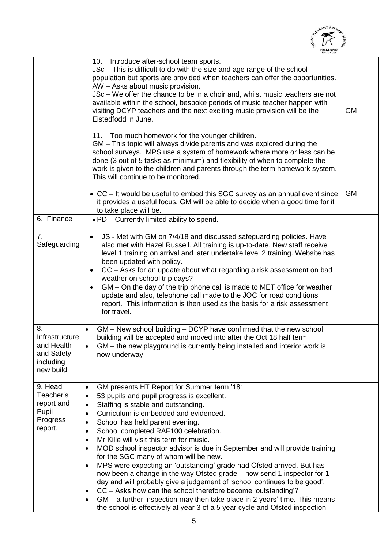|                                                                            | <b>SANT PRIM</b>                                                                                                                                                                                                                                                                                                                                                                                                                                                                                                                                                                                                                                                                                                                                                                                                                                                                                                                                                                                                                  |           |
|----------------------------------------------------------------------------|-----------------------------------------------------------------------------------------------------------------------------------------------------------------------------------------------------------------------------------------------------------------------------------------------------------------------------------------------------------------------------------------------------------------------------------------------------------------------------------------------------------------------------------------------------------------------------------------------------------------------------------------------------------------------------------------------------------------------------------------------------------------------------------------------------------------------------------------------------------------------------------------------------------------------------------------------------------------------------------------------------------------------------------|-----------|
|                                                                            | 10.<br>Introduce after-school team sports.<br>JSc - This is difficult to do with the size and age range of the school<br>population but sports are provided when teachers can offer the opportunities.<br>AW - Asks about music provision.<br>JSc – We offer the chance to be in a choir and, whilst music teachers are not<br>available within the school, bespoke periods of music teacher happen with<br>visiting DCYP teachers and the next exciting music provision will be the<br>Eistedfodd in June.                                                                                                                                                                                                                                                                                                                                                                                                                                                                                                                       | <b>GM</b> |
|                                                                            | 11.<br>Too much homework for the younger children.<br>GM – This topic will always divide parents and was explored during the<br>school surveys. MPS use a system of homework where more or less can be<br>done (3 out of 5 tasks as minimum) and flexibility of when to complete the<br>work is given to the children and parents through the term homework system.<br>This will continue to be monitored.                                                                                                                                                                                                                                                                                                                                                                                                                                                                                                                                                                                                                        |           |
|                                                                            | • CC – It would be useful to embed this SGC survey as an annual event since<br>it provides a useful focus. GM will be able to decide when a good time for it<br>to take place will be.                                                                                                                                                                                                                                                                                                                                                                                                                                                                                                                                                                                                                                                                                                                                                                                                                                            | <b>GM</b> |
| 6. Finance                                                                 | . PD - Currently limited ability to spend.                                                                                                                                                                                                                                                                                                                                                                                                                                                                                                                                                                                                                                                                                                                                                                                                                                                                                                                                                                                        |           |
| 7 <sub>1</sub><br>Safeguarding                                             | JS - Met with GM on 7/4/18 and discussed safeguarding policies. Have<br>$\bullet$<br>also met with Hazel Russell. All training is up-to-date. New staff receive<br>level 1 training on arrival and later undertake level 2 training. Website has<br>been updated with policy.<br>CC - Asks for an update about what regarding a risk assessment on bad<br>$\bullet$<br>weather on school trip days?<br>GM – On the day of the trip phone call is made to MET office for weather<br>$\bullet$<br>update and also, telephone call made to the JOC for road conditions<br>report. This information is then used as the basis for a risk assessment<br>for travel.                                                                                                                                                                                                                                                                                                                                                                    |           |
| 8.<br>Infrastructure<br>and Health<br>and Safety<br>including<br>new build | GM – New school building – DCYP have confirmed that the new school<br>building will be accepted and moved into after the Oct 18 half term.<br>GM - the new playground is currently being installed and interior work is<br>now underway.                                                                                                                                                                                                                                                                                                                                                                                                                                                                                                                                                                                                                                                                                                                                                                                          |           |
| 9. Head<br>Teacher's<br>report and<br>Pupil<br>Progress<br>report.         | GM presents HT Report for Summer term '18:<br>$\bullet$<br>53 pupils and pupil progress is excellent.<br>$\bullet$<br>Staffing is stable and outstanding.<br>$\bullet$<br>Curriculum is embedded and evidenced.<br>$\bullet$<br>School has held parent evening.<br>$\bullet$<br>School completed RAF100 celebration.<br>$\bullet$<br>Mr Kille will visit this term for music.<br>$\bullet$<br>MOD school inspector advisor is due in September and will provide training<br>$\bullet$<br>for the SGC many of whom will be new.<br>MPS were expecting an 'outstanding' grade had Ofsted arrived. But has<br>$\bullet$<br>now been a change in the way Ofsted grade - now send 1 inspector for 1<br>day and will probably give a judgement of 'school continues to be good'.<br>CC – Asks how can the school therefore become 'outstanding'?<br>$\bullet$<br>GM – a further inspection may then take place in 2 years' time. This means<br>$\bullet$<br>the school is effectively at year 3 of a 5 year cycle and Ofsted inspection |           |